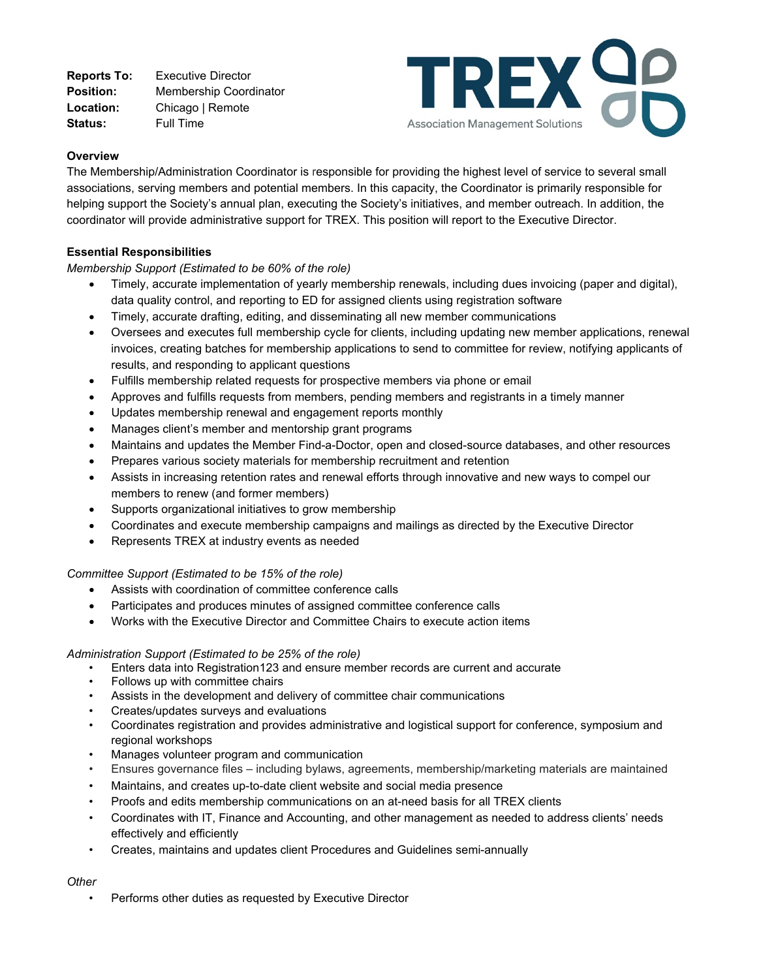**Reports To:** Executive Director **Position:** Membership Coordinator **Location:** Chicago | Remote **Status:** Full Time



# **Overview**

The Membership/Administration Coordinator is responsible for providing the highest level of service to several small associations, serving members and potential members. In this capacity, the Coordinator is primarily responsible for helping support the Society's annual plan, executing the Society's initiatives, and member outreach. In addition, the coordinator will provide administrative support for TREX. This position will report to the Executive Director.

# **Essential Responsibilities**

# *Membership Support (Estimated to be 60% of the role)*

- Timely, accurate implementation of yearly membership renewals, including dues invoicing (paper and digital), data quality control, and reporting to ED for assigned clients using registration software
- Timely, accurate drafting, editing, and disseminating all new member communications
- Oversees and executes full membership cycle for clients, including updating new member applications, renewal invoices, creating batches for membership applications to send to committee for review, notifying applicants of results, and responding to applicant questions
- Fulfills membership related requests for prospective members via phone or email
- Approves and fulfills requests from members, pending members and registrants in a timely manner
- Updates membership renewal and engagement reports monthly
- Manages client's member and mentorship grant programs
- Maintains and updates the Member Find-a-Doctor, open and closed-source databases, and other resources
- Prepares various society materials for membership recruitment and retention
- Assists in increasing retention rates and renewal efforts through innovative and new ways to compel our members to renew (and former members)
- Supports organizational initiatives to grow membership
- Coordinates and execute membership campaigns and mailings as directed by the Executive Director
- Represents TREX at industry events as needed

# *Committee Support (Estimated to be 15% of the role)*

- Assists with coordination of committee conference calls
- Participates and produces minutes of assigned committee conference calls
- Works with the Executive Director and Committee Chairs to execute action items

# *Administration Support (Estimated to be 25% of the role)*

- Enters data into Registration123 and ensure member records are current and accurate
- Follows up with committee chairs
- Assists in the development and delivery of committee chair communications
- Creates/updates surveys and evaluations
- Coordinates registration and provides administrative and logistical support for conference, symposium and regional workshops
- Manages volunteer program and communication
- Ensures governance files including bylaws, agreements, membership/marketing materials are maintained
- Maintains, and creates up-to-date client website and social media presence
- Proofs and edits membership communications on an at-need basis for all TREX clients
- Coordinates with IT, Finance and Accounting, and other management as needed to address clients' needs effectively and efficiently
- Creates, maintains and updates client Procedures and Guidelines semi-annually

# *Other*

Performs other duties as requested by Executive Director